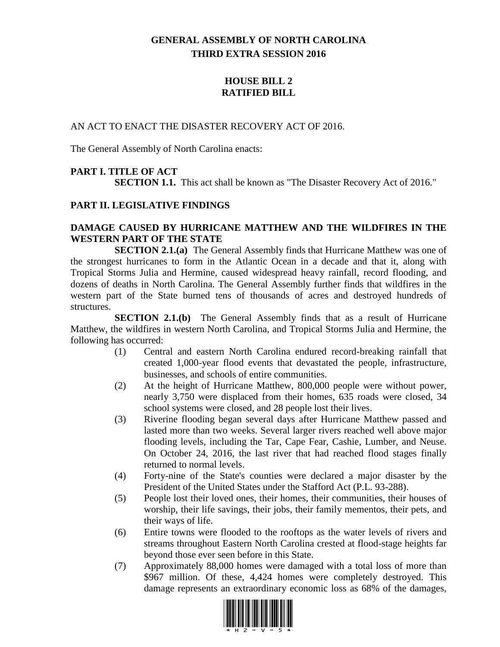# **GENERAL ASSEMBLY OF NORTH CAROLINA THIRD EXTRA SESSION 2016**

## **HOUSE BILL 2 RATIFIED BILL**

#### AN ACT TO ENACT THE DISASTER RECOVERY ACT OF 2016.

The General Assembly of North Carolina enacts:

## **PART I. TITLE OF ACT**

**SECTION 1.1.** This act shall be known as "The Disaster Recovery Act of 2016."

#### **PART II. LEGISLATIVE FINDINGS**

#### **DAMAGE CAUSED BY HURRICANE MATTHEW AND THE WILDFIRES IN THE WESTERN PART OF THE STATE**

**SECTION 2.1.(a)** The General Assembly finds that Hurricane Matthew was one of the strongest hurricanes to form in the Atlantic Ocean in a decade and that it, along with Tropical Storms Julia and Hermine, caused widespread heavy rainfall, record flooding, and dozens of deaths in North Carolina. The General Assembly further finds that wildfires in the western part of the State burned tens of thousands of acres and destroyed hundreds of structures.

**SECTION 2.1.(b)** The General Assembly finds that as a result of Hurricane Matthew, the wildfires in western North Carolina, and Tropical Storms Julia and Hermine, the following has occurred:

- (1) Central and eastern North Carolina endured record-breaking rainfall that created 1,000-year flood events that devastated the people, infrastructure, businesses, and schools of entire communities.
- (2) At the height of Hurricane Matthew, 800,000 people were without power, nearly 3,750 were displaced from their homes, 635 roads were closed, 34 school systems were closed, and 28 people lost their lives.
- (3) Riverine flooding began several days after Hurricane Matthew passed and lasted more than two weeks. Several larger rivers reached well above major flooding levels, including the Tar, Cape Fear, Cashie, Lumber, and Neuse. On October 24, 2016, the last river that had reached flood stages finally returned to normal levels.
- (4) Forty-nine of the State's counties were declared a major disaster by the President of the United States under the Stafford Act (P.L. 93-288).
- (5) People lost their loved ones, their homes, their communities, their houses of worship, their life savings, their jobs, their family mementos, their pets, and their ways of life.
- (6) Entire towns were flooded to the rooftops as the water levels of rivers and streams throughout Eastern North Carolina crested at flood-stage heights far beyond those ever seen before in this State.
- (7) Approximately 88,000 homes were damaged with a total loss of more than \$967 million. Of these, 4,424 homes were completely destroyed. This damage represents an extraordinary economic loss as 68% of the damages,

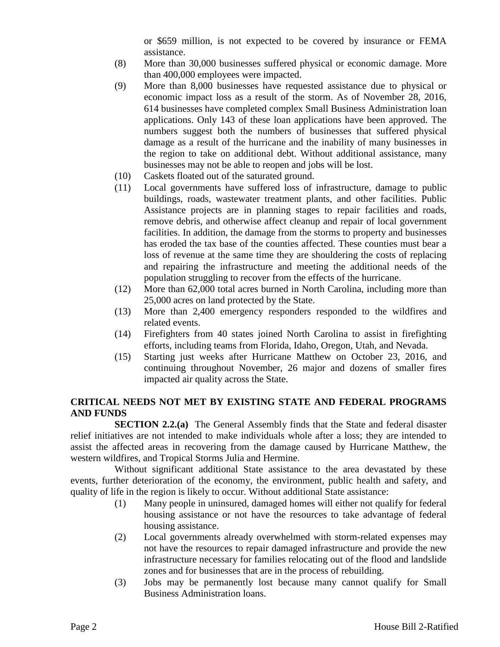or \$659 million, is not expected to be covered by insurance or FEMA assistance.

- (8) More than 30,000 businesses suffered physical or economic damage. More than 400,000 employees were impacted.
- (9) More than 8,000 businesses have requested assistance due to physical or economic impact loss as a result of the storm. As of November 28, 2016, 614 businesses have completed complex Small Business Administration loan applications. Only 143 of these loan applications have been approved. The numbers suggest both the numbers of businesses that suffered physical damage as a result of the hurricane and the inability of many businesses in the region to take on additional debt. Without additional assistance, many businesses may not be able to reopen and jobs will be lost.
- (10) Caskets floated out of the saturated ground.
- (11) Local governments have suffered loss of infrastructure, damage to public buildings, roads, wastewater treatment plants, and other facilities. Public Assistance projects are in planning stages to repair facilities and roads, remove debris, and otherwise affect cleanup and repair of local government facilities. In addition, the damage from the storms to property and businesses has eroded the tax base of the counties affected. These counties must bear a loss of revenue at the same time they are shouldering the costs of replacing and repairing the infrastructure and meeting the additional needs of the population struggling to recover from the effects of the hurricane.
- (12) More than 62,000 total acres burned in North Carolina, including more than 25,000 acres on land protected by the State.
- (13) More than 2,400 emergency responders responded to the wildfires and related events.
- (14) Firefighters from 40 states joined North Carolina to assist in firefighting efforts, including teams from Florida, Idaho, Oregon, Utah, and Nevada.
- (15) Starting just weeks after Hurricane Matthew on October 23, 2016, and continuing throughout November, 26 major and dozens of smaller fires impacted air quality across the State.

## **CRITICAL NEEDS NOT MET BY EXISTING STATE AND FEDERAL PROGRAMS AND FUNDS**

**SECTION 2.2.(a)** The General Assembly finds that the State and federal disaster relief initiatives are not intended to make individuals whole after a loss; they are intended to assist the affected areas in recovering from the damage caused by Hurricane Matthew, the western wildfires, and Tropical Storms Julia and Hermine.

Without significant additional State assistance to the area devastated by these events, further deterioration of the economy, the environment, public health and safety, and quality of life in the region is likely to occur. Without additional State assistance:

- (1) Many people in uninsured, damaged homes will either not qualify for federal housing assistance or not have the resources to take advantage of federal housing assistance.
- (2) Local governments already overwhelmed with storm-related expenses may not have the resources to repair damaged infrastructure and provide the new infrastructure necessary for families relocating out of the flood and landslide zones and for businesses that are in the process of rebuilding.
- (3) Jobs may be permanently lost because many cannot qualify for Small Business Administration loans.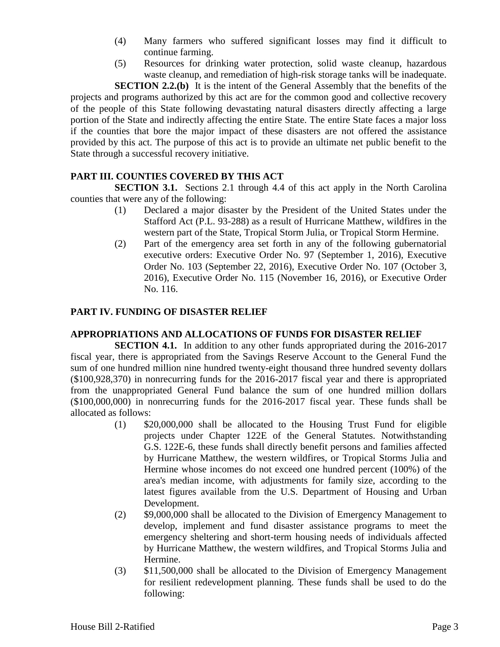- (4) Many farmers who suffered significant losses may find it difficult to continue farming.
- (5) Resources for drinking water protection, solid waste cleanup, hazardous waste cleanup, and remediation of high-risk storage tanks will be inadequate.

**SECTION 2.2.(b)** It is the intent of the General Assembly that the benefits of the projects and programs authorized by this act are for the common good and collective recovery of the people of this State following devastating natural disasters directly affecting a large portion of the State and indirectly affecting the entire State. The entire State faces a major loss if the counties that bore the major impact of these disasters are not offered the assistance provided by this act. The purpose of this act is to provide an ultimate net public benefit to the State through a successful recovery initiative.

### **PART III. COUNTIES COVERED BY THIS ACT**

**SECTION 3.1.** Sections 2.1 through 4.4 of this act apply in the North Carolina counties that were any of the following:

- (1) Declared a major disaster by the President of the United States under the Stafford Act (P.L. 93-288) as a result of Hurricane Matthew, wildfires in the western part of the State, Tropical Storm Julia, or Tropical Storm Hermine.
- (2) Part of the emergency area set forth in any of the following gubernatorial executive orders: Executive Order No. 97 (September 1, 2016), Executive Order No. 103 (September 22, 2016), Executive Order No. 107 (October 3, 2016), Executive Order No. 115 (November 16, 2016), or Executive Order No. 116.

## **PART IV. FUNDING OF DISASTER RELIEF**

### **APPROPRIATIONS AND ALLOCATIONS OF FUNDS FOR DISASTER RELIEF**

**SECTION 4.1.** In addition to any other funds appropriated during the 2016-2017 fiscal year, there is appropriated from the Savings Reserve Account to the General Fund the sum of one hundred million nine hundred twenty-eight thousand three hundred seventy dollars (\$100,928,370) in nonrecurring funds for the 2016-2017 fiscal year and there is appropriated from the unappropriated General Fund balance the sum of one hundred million dollars (\$100,000,000) in nonrecurring funds for the 2016-2017 fiscal year. These funds shall be allocated as follows:

- (1) \$20,000,000 shall be allocated to the Housing Trust Fund for eligible projects under Chapter 122E of the General Statutes. Notwithstanding G.S. 122E-6, these funds shall directly benefit persons and families affected by Hurricane Matthew, the western wildfires, or Tropical Storms Julia and Hermine whose incomes do not exceed one hundred percent (100%) of the area's median income, with adjustments for family size, according to the latest figures available from the U.S. Department of Housing and Urban Development.
- (2) \$9,000,000 shall be allocated to the Division of Emergency Management to develop, implement and fund disaster assistance programs to meet the emergency sheltering and short-term housing needs of individuals affected by Hurricane Matthew, the western wildfires, and Tropical Storms Julia and Hermine.
- (3) \$11,500,000 shall be allocated to the Division of Emergency Management for resilient redevelopment planning. These funds shall be used to do the following: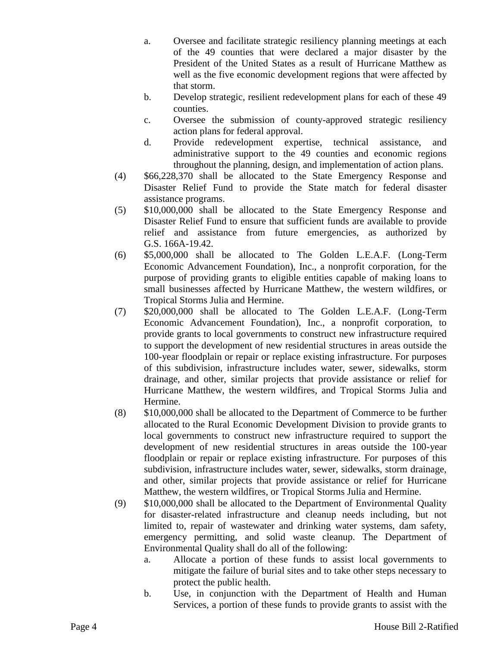- a. Oversee and facilitate strategic resiliency planning meetings at each of the 49 counties that were declared a major disaster by the President of the United States as a result of Hurricane Matthew as well as the five economic development regions that were affected by that storm.
- b. Develop strategic, resilient redevelopment plans for each of these 49 counties.
- c. Oversee the submission of county-approved strategic resiliency action plans for federal approval.
- d. Provide redevelopment expertise, technical assistance, and administrative support to the 49 counties and economic regions throughout the planning, design, and implementation of action plans.
- (4) \$66,228,370 shall be allocated to the State Emergency Response and Disaster Relief Fund to provide the State match for federal disaster assistance programs.
- (5) \$10,000,000 shall be allocated to the State Emergency Response and Disaster Relief Fund to ensure that sufficient funds are available to provide relief and assistance from future emergencies, as authorized by G.S. 166A-19.42.
- (6) \$5,000,000 shall be allocated to The Golden L.E.A.F. (Long-Term Economic Advancement Foundation), Inc., a nonprofit corporation, for the purpose of providing grants to eligible entities capable of making loans to small businesses affected by Hurricane Matthew, the western wildfires, or Tropical Storms Julia and Hermine.
- (7) \$20,000,000 shall be allocated to The Golden L.E.A.F. (Long-Term Economic Advancement Foundation), Inc., a nonprofit corporation, to provide grants to local governments to construct new infrastructure required to support the development of new residential structures in areas outside the 100-year floodplain or repair or replace existing infrastructure. For purposes of this subdivision, infrastructure includes water, sewer, sidewalks, storm drainage, and other, similar projects that provide assistance or relief for Hurricane Matthew, the western wildfires, and Tropical Storms Julia and Hermine.
- (8) \$10,000,000 shall be allocated to the Department of Commerce to be further allocated to the Rural Economic Development Division to provide grants to local governments to construct new infrastructure required to support the development of new residential structures in areas outside the 100-year floodplain or repair or replace existing infrastructure. For purposes of this subdivision, infrastructure includes water, sewer, sidewalks, storm drainage, and other, similar projects that provide assistance or relief for Hurricane Matthew, the western wildfires, or Tropical Storms Julia and Hermine.
- (9) \$10,000,000 shall be allocated to the Department of Environmental Quality for disaster-related infrastructure and cleanup needs including, but not limited to, repair of wastewater and drinking water systems, dam safety, emergency permitting, and solid waste cleanup. The Department of Environmental Quality shall do all of the following:
	- a. Allocate a portion of these funds to assist local governments to mitigate the failure of burial sites and to take other steps necessary to protect the public health.
	- b. Use, in conjunction with the Department of Health and Human Services, a portion of these funds to provide grants to assist with the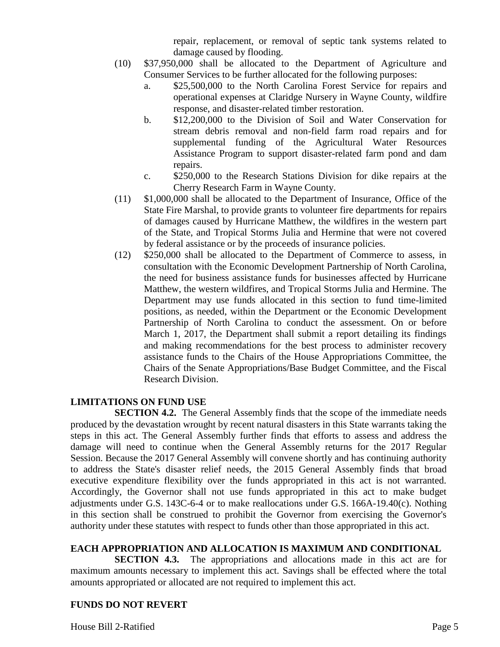repair, replacement, or removal of septic tank systems related to damage caused by flooding.

- (10) \$37,950,000 shall be allocated to the Department of Agriculture and Consumer Services to be further allocated for the following purposes:
	- a. \$25,500,000 to the North Carolina Forest Service for repairs and operational expenses at Claridge Nursery in Wayne County, wildfire response, and disaster-related timber restoration.
	- b. \$12,200,000 to the Division of Soil and Water Conservation for stream debris removal and non-field farm road repairs and for supplemental funding of the Agricultural Water Resources Assistance Program to support disaster-related farm pond and dam repairs.
	- c. \$250,000 to the Research Stations Division for dike repairs at the Cherry Research Farm in Wayne County.
- (11) \$1,000,000 shall be allocated to the Department of Insurance, Office of the State Fire Marshal, to provide grants to volunteer fire departments for repairs of damages caused by Hurricane Matthew, the wildfires in the western part of the State, and Tropical Storms Julia and Hermine that were not covered by federal assistance or by the proceeds of insurance policies.
- (12) \$250,000 shall be allocated to the Department of Commerce to assess, in consultation with the Economic Development Partnership of North Carolina, the need for business assistance funds for businesses affected by Hurricane Matthew, the western wildfires, and Tropical Storms Julia and Hermine. The Department may use funds allocated in this section to fund time-limited positions, as needed, within the Department or the Economic Development Partnership of North Carolina to conduct the assessment. On or before March 1, 2017, the Department shall submit a report detailing its findings and making recommendations for the best process to administer recovery assistance funds to the Chairs of the House Appropriations Committee, the Chairs of the Senate Appropriations/Base Budget Committee, and the Fiscal Research Division.

### **LIMITATIONS ON FUND USE**

**SECTION 4.2.** The General Assembly finds that the scope of the immediate needs produced by the devastation wrought by recent natural disasters in this State warrants taking the steps in this act. The General Assembly further finds that efforts to assess and address the damage will need to continue when the General Assembly returns for the 2017 Regular Session. Because the 2017 General Assembly will convene shortly and has continuing authority to address the State's disaster relief needs, the 2015 General Assembly finds that broad executive expenditure flexibility over the funds appropriated in this act is not warranted. Accordingly, the Governor shall not use funds appropriated in this act to make budget adjustments under G.S. 143C-6-4 or to make reallocations under G.S. 166A-19.40(c). Nothing in this section shall be construed to prohibit the Governor from exercising the Governor's authority under these statutes with respect to funds other than those appropriated in this act.

### **EACH APPROPRIATION AND ALLOCATION IS MAXIMUM AND CONDITIONAL**

**SECTION 4.3.** The appropriations and allocations made in this act are for maximum amounts necessary to implement this act. Savings shall be effected where the total amounts appropriated or allocated are not required to implement this act.

### **FUNDS DO NOT REVERT**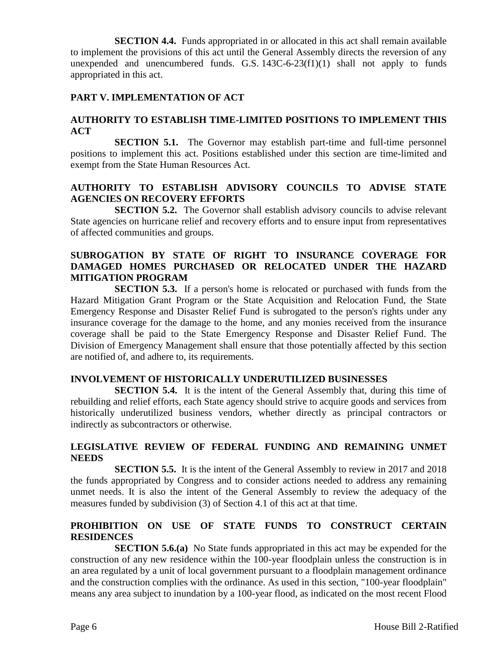**SECTION 4.4.** Funds appropriated in or allocated in this act shall remain available to implement the provisions of this act until the General Assembly directs the reversion of any unexpended and unencumbered funds. G.S. 143C-6-23(f1)(1) shall not apply to funds appropriated in this act.

### **PART V. IMPLEMENTATION OF ACT**

### **AUTHORITY TO ESTABLISH TIME-LIMITED POSITIONS TO IMPLEMENT THIS ACT**

**SECTION 5.1.** The Governor may establish part-time and full-time personnel positions to implement this act. Positions established under this section are time-limited and exempt from the State Human Resources Act.

### **AUTHORITY TO ESTABLISH ADVISORY COUNCILS TO ADVISE STATE AGENCIES ON RECOVERY EFFORTS**

**SECTION 5.2.** The Governor shall establish advisory councils to advise relevant State agencies on hurricane relief and recovery efforts and to ensure input from representatives of affected communities and groups.

### **SUBROGATION BY STATE OF RIGHT TO INSURANCE COVERAGE FOR DAMAGED HOMES PURCHASED OR RELOCATED UNDER THE HAZARD MITIGATION PROGRAM**

**SECTION 5.3.** If a person's home is relocated or purchased with funds from the Hazard Mitigation Grant Program or the State Acquisition and Relocation Fund, the State Emergency Response and Disaster Relief Fund is subrogated to the person's rights under any insurance coverage for the damage to the home, and any monies received from the insurance coverage shall be paid to the State Emergency Response and Disaster Relief Fund. The Division of Emergency Management shall ensure that those potentially affected by this section are notified of, and adhere to, its requirements.

### **INVOLVEMENT OF HISTORICALLY UNDERUTILIZED BUSINESSES**

**SECTION 5.4.** It is the intent of the General Assembly that, during this time of rebuilding and relief efforts, each State agency should strive to acquire goods and services from historically underutilized business vendors, whether directly as principal contractors or indirectly as subcontractors or otherwise.

### **LEGISLATIVE REVIEW OF FEDERAL FUNDING AND REMAINING UNMET NEEDS**

**SECTION 5.5.** It is the intent of the General Assembly to review in 2017 and 2018 the funds appropriated by Congress and to consider actions needed to address any remaining unmet needs. It is also the intent of the General Assembly to review the adequacy of the measures funded by subdivision (3) of Section 4.1 of this act at that time.

### **PROHIBITION ON USE OF STATE FUNDS TO CONSTRUCT CERTAIN RESIDENCES**

**SECTION 5.6.(a)** No State funds appropriated in this act may be expended for the construction of any new residence within the 100-year floodplain unless the construction is in an area regulated by a unit of local government pursuant to a floodplain management ordinance and the construction complies with the ordinance. As used in this section, "100-year floodplain" means any area subject to inundation by a 100-year flood, as indicated on the most recent Flood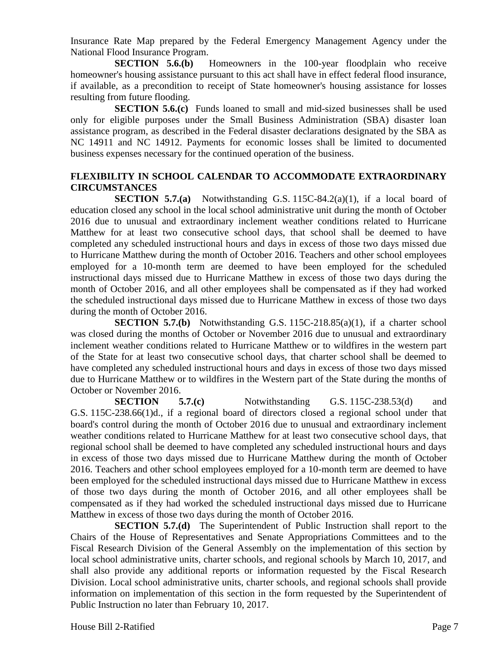Insurance Rate Map prepared by the Federal Emergency Management Agency under the National Flood Insurance Program.

**SECTION 5.6.(b)** Homeowners in the 100-year floodplain who receive homeowner's housing assistance pursuant to this act shall have in effect federal flood insurance, if available, as a precondition to receipt of State homeowner's housing assistance for losses resulting from future flooding.

**SECTION 5.6.(c)** Funds loaned to small and mid-sized businesses shall be used only for eligible purposes under the Small Business Administration (SBA) disaster loan assistance program, as described in the Federal disaster declarations designated by the SBA as NC 14911 and NC 14912. Payments for economic losses shall be limited to documented business expenses necessary for the continued operation of the business.

### **FLEXIBILITY IN SCHOOL CALENDAR TO ACCOMMODATE EXTRAORDINARY CIRCUMSTANCES**

**SECTION 5.7.(a)** Notwithstanding G.S. 115C-84.2(a)(1), if a local board of education closed any school in the local school administrative unit during the month of October 2016 due to unusual and extraordinary inclement weather conditions related to Hurricane Matthew for at least two consecutive school days, that school shall be deemed to have completed any scheduled instructional hours and days in excess of those two days missed due to Hurricane Matthew during the month of October 2016. Teachers and other school employees employed for a 10-month term are deemed to have been employed for the scheduled instructional days missed due to Hurricane Matthew in excess of those two days during the month of October 2016, and all other employees shall be compensated as if they had worked the scheduled instructional days missed due to Hurricane Matthew in excess of those two days during the month of October 2016.

**SECTION 5.7.(b)** Notwithstanding G.S. 115C-218.85(a)(1), if a charter school was closed during the months of October or November 2016 due to unusual and extraordinary inclement weather conditions related to Hurricane Matthew or to wildfires in the western part of the State for at least two consecutive school days, that charter school shall be deemed to have completed any scheduled instructional hours and days in excess of those two days missed due to Hurricane Matthew or to wildfires in the Western part of the State during the months of October or November 2016.

**SECTION** 5.7.(c) Notwithstanding G.S. 115C-238.53(d) and G.S. 115C-238.66(1)d., if a regional board of directors closed a regional school under that board's control during the month of October 2016 due to unusual and extraordinary inclement weather conditions related to Hurricane Matthew for at least two consecutive school days, that regional school shall be deemed to have completed any scheduled instructional hours and days in excess of those two days missed due to Hurricane Matthew during the month of October 2016. Teachers and other school employees employed for a 10-month term are deemed to have been employed for the scheduled instructional days missed due to Hurricane Matthew in excess of those two days during the month of October 2016, and all other employees shall be compensated as if they had worked the scheduled instructional days missed due to Hurricane Matthew in excess of those two days during the month of October 2016.

**SECTION 5.7.(d)** The Superintendent of Public Instruction shall report to the Chairs of the House of Representatives and Senate Appropriations Committees and to the Fiscal Research Division of the General Assembly on the implementation of this section by local school administrative units, charter schools, and regional schools by March 10, 2017, and shall also provide any additional reports or information requested by the Fiscal Research Division. Local school administrative units, charter schools, and regional schools shall provide information on implementation of this section in the form requested by the Superintendent of Public Instruction no later than February 10, 2017.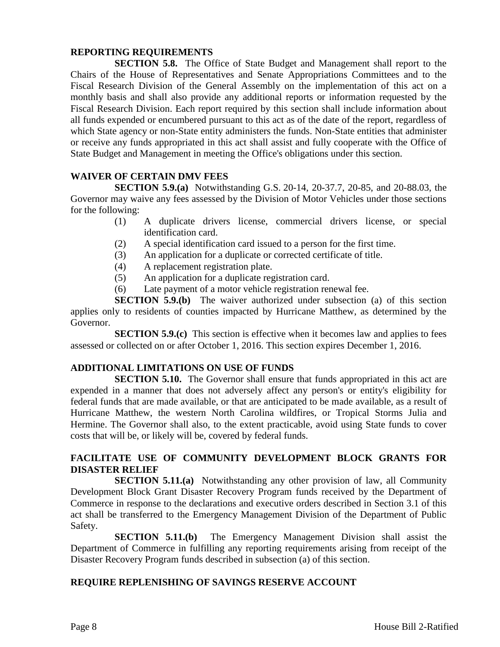#### **REPORTING REQUIREMENTS**

**SECTION 5.8.** The Office of State Budget and Management shall report to the Chairs of the House of Representatives and Senate Appropriations Committees and to the Fiscal Research Division of the General Assembly on the implementation of this act on a monthly basis and shall also provide any additional reports or information requested by the Fiscal Research Division. Each report required by this section shall include information about all funds expended or encumbered pursuant to this act as of the date of the report, regardless of which State agency or non-State entity administers the funds. Non-State entities that administer or receive any funds appropriated in this act shall assist and fully cooperate with the Office of State Budget and Management in meeting the Office's obligations under this section.

### **WAIVER OF CERTAIN DMV FEES**

**SECTION 5.9.(a)** Notwithstanding G.S. 20-14, 20-37.7, 20-85, and 20-88.03, the Governor may waive any fees assessed by the Division of Motor Vehicles under those sections for the following:

- (1) A duplicate drivers license, commercial drivers license, or special identification card.
- (2) A special identification card issued to a person for the first time.
- (3) An application for a duplicate or corrected certificate of title.
- (4) A replacement registration plate.
- (5) An application for a duplicate registration card.
- (6) Late payment of a motor vehicle registration renewal fee.

**SECTION 5.9.(b)** The waiver authorized under subsection (a) of this section applies only to residents of counties impacted by Hurricane Matthew, as determined by the Governor.

**SECTION 5.9.(c)** This section is effective when it becomes law and applies to fees assessed or collected on or after October 1, 2016. This section expires December 1, 2016.

### **ADDITIONAL LIMITATIONS ON USE OF FUNDS**

**SECTION 5.10.** The Governor shall ensure that funds appropriated in this act are expended in a manner that does not adversely affect any person's or entity's eligibility for federal funds that are made available, or that are anticipated to be made available, as a result of Hurricane Matthew, the western North Carolina wildfires, or Tropical Storms Julia and Hermine. The Governor shall also, to the extent practicable, avoid using State funds to cover costs that will be, or likely will be, covered by federal funds.

## **FACILITATE USE OF COMMUNITY DEVELOPMENT BLOCK GRANTS FOR DISASTER RELIEF**

**SECTION 5.11.(a)** Notwithstanding any other provision of law, all Community Development Block Grant Disaster Recovery Program funds received by the Department of Commerce in response to the declarations and executive orders described in Section 3.1 of this act shall be transferred to the Emergency Management Division of the Department of Public Safety.

**SECTION 5.11.(b)** The Emergency Management Division shall assist the Department of Commerce in fulfilling any reporting requirements arising from receipt of the Disaster Recovery Program funds described in subsection (a) of this section.

### **REQUIRE REPLENISHING OF SAVINGS RESERVE ACCOUNT**